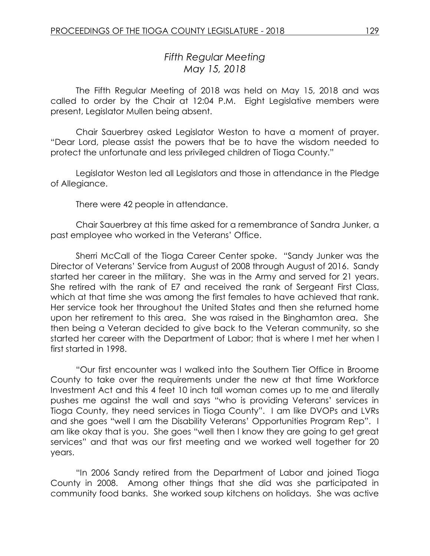# *Fifth Regular Meeting May 15, 2018*

The Fifth Regular Meeting of 2018 was held on May 15, 2018 and was called to order by the Chair at 12:04 P.M. Eight Legislative members were present, Legislator Mullen being absent.

Chair Sauerbrey asked Legislator Weston to have a moment of prayer. "Dear Lord, please assist the powers that be to have the wisdom needed to protect the unfortunate and less privileged children of Tioga County."

Legislator Weston led all Legislators and those in attendance in the Pledge of Allegiance.

There were 42 people in attendance.

Chair Sauerbrey at this time asked for a remembrance of Sandra Junker, a past employee who worked in the Veterans' Office.

Sherri McCall of the Tioga Career Center spoke. "Sandy Junker was the Director of Veterans' Service from August of 2008 through August of 2016. Sandy started her career in the military. She was in the Army and served for 21 years. She retired with the rank of E7 and received the rank of Sergeant First Class, which at that time she was among the first females to have achieved that rank. Her service took her throughout the United States and then she returned home upon her retirement to this area. She was raised in the Binghamton area. She then being a Veteran decided to give back to the Veteran community, so she started her career with the Department of Labor; that is where I met her when I first started in 1998.

"Our first encounter was I walked into the Southern Tier Office in Broome County to take over the requirements under the new at that time Workforce Investment Act and this 4 feet 10 inch tall woman comes up to me and literally pushes me against the wall and says "who is providing Veterans' services in Tioga County, they need services in Tioga County". I am like DVOPs and LVRs and she goes "well I am the Disability Veterans' Opportunities Program Rep". I am like okay that is you. She goes "well then I know they are going to get great services" and that was our first meeting and we worked well together for 20 years.

"In 2006 Sandy retired from the Department of Labor and joined Tioga County in 2008. Among other things that she did was she participated in community food banks. She worked soup kitchens on holidays. She was active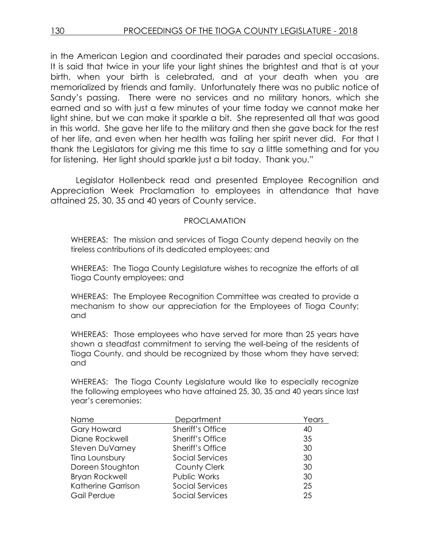in the American Legion and coordinated their parades and special occasions. It is said that twice in your life your light shines the brightest and that is at your birth, when your birth is celebrated, and at your death when you are memorialized by friends and family. Unfortunately there was no public notice of Sandy's passing. There were no services and no military honors, which she earned and so with just a few minutes of your time today we cannot make her light shine, but we can make it sparkle a bit. She represented all that was good in this world. She gave her life to the military and then she gave back for the rest of her life, and even when her health was failing her spirit never did. For that I thank the Legislators for giving me this time to say a little something and for you for listening. Her light should sparkle just a bit today. Thank you."

Legislator Hollenbeck read and presented Employee Recognition and Appreciation Week Proclamation to employees in attendance that have attained 25, 30, 35 and 40 years of County service.

### PROCLAMATION

WHEREAS: The mission and services of Tioga County depend heavily on the tireless contributions of its dedicated employees; and

WHEREAS: The Tioga County Legislature wishes to recognize the efforts of all Tioga County employees; and

WHEREAS: The Employee Recognition Committee was created to provide a mechanism to show our appreciation for the Employees of Tioga County; and

WHEREAS: Those employees who have served for more than 25 years have shown a steadfast commitment to serving the well-being of the residents of Tioga County, and should be recognized by those whom they have served; and

WHEREAS: The Tioga County Legislature would like to especially recognize the following employees who have attained 25, 30, 35 and 40 years since last year's ceremonies:

| Name                   | Department       | Years |
|------------------------|------------------|-------|
| <b>Gary Howard</b>     | Sheriff's Office | 40    |
| Diane Rockwell         | Sheriff's Office | 35    |
| <b>Steven DuVarney</b> | Sheriff's Office | 30    |
| Tina Lounsbury         | Social Services  | 30    |
| Doreen Stoughton       | County Clerk     | 30    |
| <b>Bryan Rockwell</b>  | Public Works     | 30    |
| Katherine Garrison     | Social Services  | 25    |
| Gail Perdue            | Social Services  | 25    |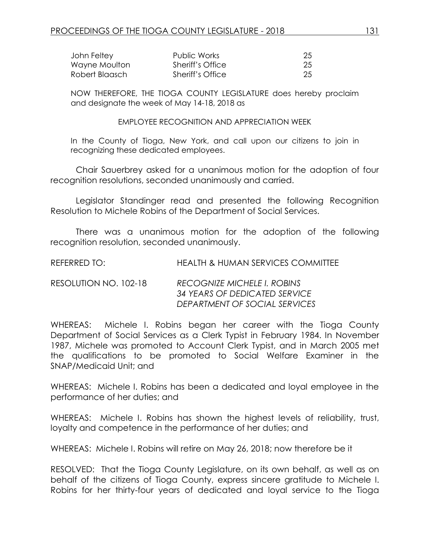| John Feltey    | Public Works     | 25 |
|----------------|------------------|----|
| Wayne Moulton  | Sheriff's Office | 25 |
| Robert Blaasch | Sheriff's Office | 25 |

NOW THEREFORE, THE TIOGA COUNTY LEGISLATURE does hereby proclaim and designate the week of May 14-18, 2018 as

EMPLOYEE RECOGNITION AND APPRECIATION WEEK

In the County of Tioga, New York, and call upon our citizens to join in recognizing these dedicated employees.

Chair Sauerbrey asked for a unanimous motion for the adoption of four recognition resolutions, seconded unanimously and carried.

Legislator Standinger read and presented the following Recognition Resolution to Michele Robins of the Department of Social Services.

There was a unanimous motion for the adoption of the following recognition resolution, seconded unanimously.

REFERRED TO: HEALTH & HUMAN SERVICES COMMITTEE

RESOLUTION NO. 102-18 *RECOGNIZE MICHELE I. ROBINS 34 YEARS OF DEDICATED SERVICE DEPARTMENT OF SOCIAL SERVICES*

WHEREAS: Michele I. Robins began her career with the Tioga County Department of Social Services as a Clerk Typist in February 1984. In November 1987, Michele was promoted to Account Clerk Typist, and in March 2005 met the qualifications to be promoted to Social Welfare Examiner in the SNAP/Medicaid Unit; and

WHEREAS: Michele I. Robins has been a dedicated and loyal employee in the performance of her duties; and

WHEREAS: Michele I. Robins has shown the highest levels of reliability, trust, loyalty and competence in the performance of her duties; and

WHEREAS: Michele I. Robins will retire on May 26, 2018; now therefore be it

RESOLVED:That the Tioga County Legislature, on its own behalf, as well as on behalf of the citizens of Tioga County, express sincere gratitude to Michele I. Robins for her thirty-four years of dedicated and loyal service to the Tioga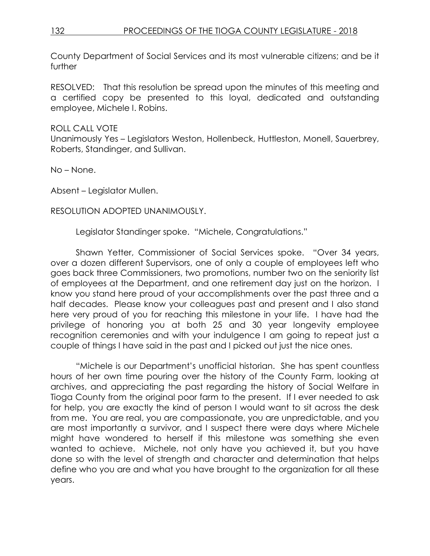County Department of Social Services and its most vulnerable citizens; and be it further

RESOLVED: That this resolution be spread upon the minutes of this meeting and a certified copy be presented to this loyal, dedicated and outstanding employee, Michele I. Robins.

## ROLL CALL VOTE

Unanimously Yes – Legislators Weston, Hollenbeck, Huttleston, Monell, Sauerbrey, Roberts, Standinger, and Sullivan.

No – None.

Absent – Legislator Mullen.

### RESOLUTION ADOPTED UNANIMOUSLY.

Legislator Standinger spoke. "Michele, Congratulations."

Shawn Yetter, Commissioner of Social Services spoke. "Over 34 years, over a dozen different Supervisors, one of only a couple of employees left who goes back three Commissioners, two promotions, number two on the seniority list of employees at the Department, and one retirement day just on the horizon. I know you stand here proud of your accomplishments over the past three and a half decades. Please know your colleagues past and present and I also stand here very proud of you for reaching this milestone in your life. I have had the privilege of honoring you at both 25 and 30 year longevity employee recognition ceremonies and with your indulgence I am going to repeat just a couple of things I have said in the past and I picked out just the nice ones.

"Michele is our Department's unofficial historian. She has spent countless hours of her own time pouring over the history of the County Farm, looking at archives, and appreciating the past regarding the history of Social Welfare in Tioga County from the original poor farm to the present. If I ever needed to ask for help, you are exactly the kind of person I would want to sit across the desk from me. You are real, you are compassionate, you are unpredictable, and you are most importantly a survivor, and I suspect there were days where Michele might have wondered to herself if this milestone was something she even wanted to achieve. Michele, not only have you achieved it, but you have done so with the level of strength and character and determination that helps define who you are and what you have brought to the organization for all these years.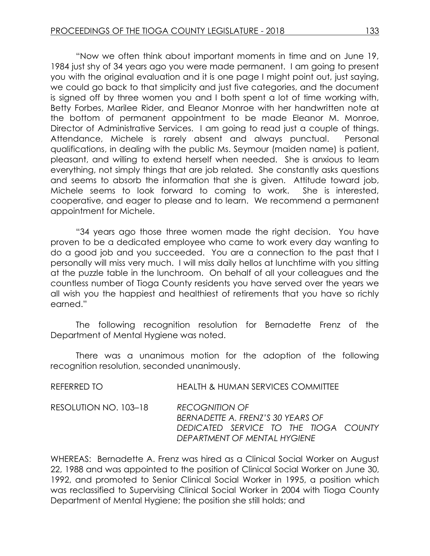"Now we often think about important moments in time and on June 19, 1984 just shy of 34 years ago you were made permanent. I am going to present you with the original evaluation and it is one page I might point out, just saying, we could go back to that simplicity and just five categories, and the document is signed off by three women you and I both spent a lot of time working with, Betty Forbes, Marilee Rider, and Eleanor Monroe with her handwritten note at the bottom of permanent appointment to be made Eleanor M. Monroe, Director of Administrative Services. I am going to read just a couple of things. Attendance, Michele is rarely absent and always punctual. Personal qualifications, in dealing with the public Ms. Seymour (maiden name) is patient, pleasant, and willing to extend herself when needed. She is anxious to learn everything, not simply things that are job related. She constantly asks questions and seems to absorb the information that she is given. Attitude toward job, Michele seems to look forward to coming to work. She is interested, cooperative, and eager to please and to learn. We recommend a permanent appointment for Michele.

"34 years ago those three women made the right decision. You have proven to be a dedicated employee who came to work every day wanting to do a good job and you succeeded. You are a connection to the past that I personally will miss very much. I will miss daily hellos at lunchtime with you sitting at the puzzle table in the lunchroom. On behalf of all your colleagues and the countless number of Tioga County residents you have served over the years we all wish you the happiest and healthiest of retirements that you have so richly earned."

The following recognition resolution for Bernadette Frenz of the Department of Mental Hygiene was noted.

There was a unanimous motion for the adoption of the following recognition resolution, seconded unanimously.

| REFERRED TO           | <b>HEALTH &amp; HUMAN SERVICES COMMITTEE</b>                                                                                        |
|-----------------------|-------------------------------------------------------------------------------------------------------------------------------------|
| RESOLUTION NO. 103–18 | <b>RECOGNITION OF</b><br>BERNADETTE A. FRENZ'S 30 YEARS OF<br>DEDICATED SERVICE TO THE TIOGA COUNTY<br>DEPARTMENT OF MENTAL HYGIENE |

WHEREAS: Bernadette A. Frenz was hired as a Clinical Social Worker on August 22, 1988 and was appointed to the position of Clinical Social Worker on June 30, 1992, and promoted to Senior Clinical Social Worker in 1995, a position which was reclassified to Supervising Clinical Social Worker in 2004 with Tioga County Department of Mental Hygiene; the position she still holds; and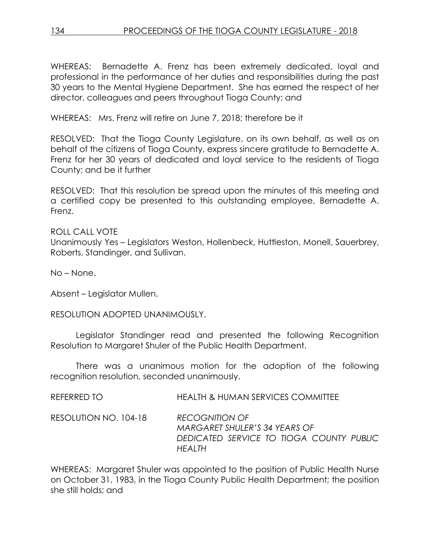WHEREAS: Bernadette A. Frenz has been extremely dedicated, loyal and professional in the performance of her duties and responsibilities during the past 30 years to the Mental Hygiene Department. She has earned the respect of her director, colleagues and peers throughout Tioga County; and

WHEREAS: Mrs. Frenz will retire on June 7, 2018; therefore be it

RESOLVED: That the Tioga County Legislature, on its own behalf, as well as on behalf of the citizens of Tioga County, express sincere gratitude to Bernadette A. Frenz for her 30 years of dedicated and loyal service to the residents of Tioga County; and be it further

RESOLVED: That this resolution be spread upon the minutes of this meeting and a certified copy be presented to this outstanding employee, Bernadette A. Frenz.

### ROLL CALL VOTE

Unanimously Yes – Legislators Weston, Hollenbeck, Huttleston, Monell, Sauerbrey, Roberts, Standinger, and Sullivan.

No – None.

Absent – Legislator Mullen.

### RESOLUTION ADOPTED UNANIMOUSLY.

Legislator Standinger read and presented the following Recognition Resolution to Margaret Shuler of the Public Health Department.

There was a unanimous motion for the adoption of the following recognition resolution, seconded unanimously.

REFERRED TO HEALTH & HUMAN SERVICES COMMITTEE

RESOLUTION NO. 104-18 *RECOGNITION OF MARGARET SHULER'S 34 YEARS OF DEDICATED SERVICE TO TIOGA COUNTY PUBLIC HEALTH* 

WHEREAS: Margaret Shuler was appointed to the position of Public Health Nurse on October 31, 1983, in the Tioga County Public Health Department; the position she still holds; and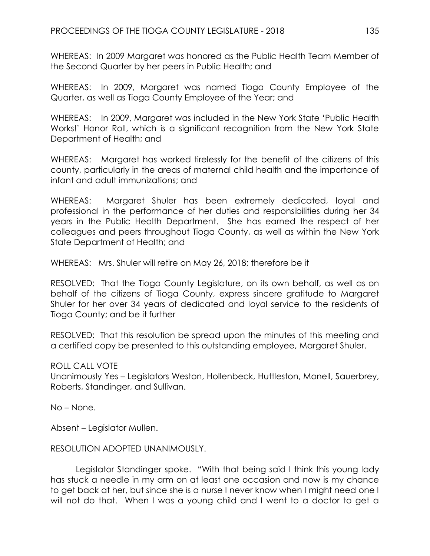WHEREAS: In 2009 Margaret was honored as the Public Health Team Member of the Second Quarter by her peers in Public Health; and

WHEREAS: In 2009, Margaret was named Tioga County Employee of the Quarter, as well as Tioga County Employee of the Year; and

WHEREAS: In 2009, Margaret was included in the New York State 'Public Health Works!' Honor Roll, which is a significant recognition from the New York State Department of Health; and

WHEREAS: Margaret has worked tirelessly for the benefit of the citizens of this county, particularly in the areas of maternal child health and the importance of infant and adult immunizations; and

WHEREAS: Margaret Shuler has been extremely dedicated, loyal and professional in the performance of her duties and responsibilities during her 34 years in the Public Health Department. She has earned the respect of her colleagues and peers throughout Tioga County, as well as within the New York State Department of Health; and

WHEREAS: Mrs. Shuler will retire on May 26, 2018; therefore be it

RESOLVED: That the Tioga County Legislature, on its own behalf, as well as on behalf of the citizens of Tioga County, express sincere gratitude to Margaret Shuler for her over 34 years of dedicated and loyal service to the residents of Tioga County; and be it further

RESOLVED: That this resolution be spread upon the minutes of this meeting and a certified copy be presented to this outstanding employee, Margaret Shuler.

## ROLL CALL VOTE

Unanimously Yes – Legislators Weston, Hollenbeck, Huttleston, Monell, Sauerbrey, Roberts, Standinger, and Sullivan.

No – None.

Absent – Legislator Mullen.

## RESOLUTION ADOPTED UNANIMOUSLY.

Legislator Standinger spoke. "With that being said I think this young lady has stuck a needle in my arm on at least one occasion and now is my chance to get back at her, but since she is a nurse I never know when I might need one I will not do that. When I was a young child and I went to a doctor to get a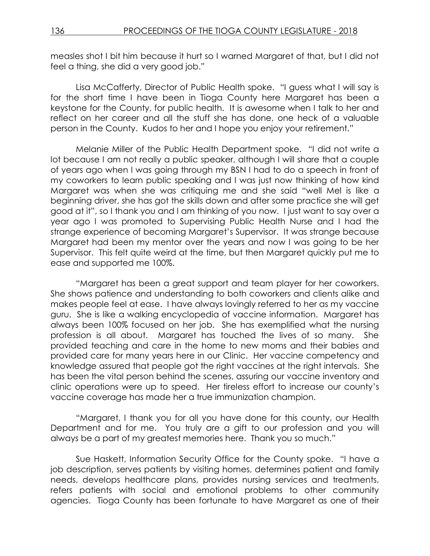measles shot I bit him because it hurt so I warned Margaret of that, but I did not feel a thing, she did a very good job."

Lisa McCafferty, Director of Public Health spoke. "I guess what I will say is for the short time I have been in Tioga County here Margaret has been a keystone for the County, for public health. It is awesome when I talk to her and reflect on her career and all the stuff she has done, one heck of a valuable person in the County. Kudos to her and I hope you enjoy your retirement."

Melanie Miller of the Public Health Department spoke. "I did not write a lot because I am not really a public speaker, although I will share that a couple of years ago when I was going through my BSN I had to do a speech in front of my coworkers to learn public speaking and I was just now thinking of how kind Margaret was when she was critiquing me and she said "well Mel is like a beginning driver, she has got the skills down and after some practice she will get good at it", so I thank you and I am thinking of you now. I just want to say over a year ago I was promoted to Supervising Public Health Nurse and I had the strange experience of becoming Margaret's Supervisor. It was strange because Margaret had been my mentor over the years and now I was going to be her Supervisor. This felt quite weird at the time, but then Margaret quickly put me to ease and supported me 100%.

"Margaret has been a great support and team player for her coworkers. She shows patience and understanding to both coworkers and clients alike and makes people feel at ease. I have always lovingly referred to her as my vaccine guru. She is like a walking encyclopedia of vaccine information. Margaret has always been 100% focused on her job. She has exemplified what the nursing profession is all about. Margaret has touched the lives of so many. She provided teaching and care in the home to new moms and their babies and provided care for many years here in our Clinic. Her vaccine competency and knowledge assured that people got the right vaccines at the right intervals. She has been the vital person behind the scenes, assuring our vaccine inventory and clinic operations were up to speed. Her tireless effort to increase our county's vaccine coverage has made her a true immunization champion.

"Margaret, I thank you for all you have done for this county, our Health Department and for me. You truly are a gift to our profession and you will always be a part of my greatest memories here. Thank you so much."

Sue Haskett, Information Security Office for the County spoke. "I have a job description, serves patients by visiting homes, determines patient and family needs, develops healthcare plans, provides nursing services and treatments, refers patients with social and emotional problems to other community agencies. Tioga County has been fortunate to have Margaret as one of their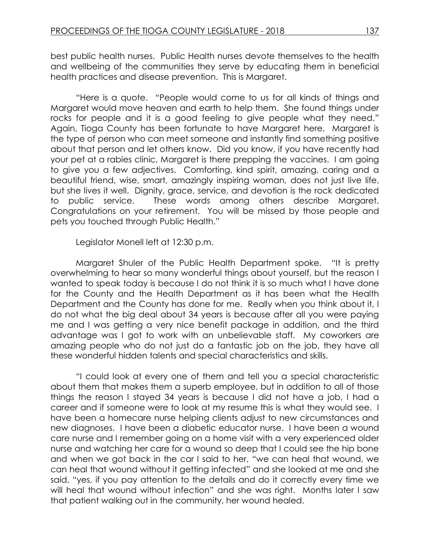best public health nurses. Public Health nurses devote themselves to the health and wellbeing of the communities they serve by educating them in beneficial health practices and disease prevention. This is Margaret.

"Here is a quote. "People would come to us for all kinds of things and Margaret would move heaven and earth to help them. She found things under rocks for people and it is a good feeling to give people what they need." Again, Tioga County has been fortunate to have Margaret here. Margaret is the type of person who can meet someone and instantly find something positive about that person and let others know. Did you know, if you have recently had your pet at a rabies clinic, Margaret is there prepping the vaccines. I am going to give you a few adjectives. Comforting, kind spirit, amazing, caring and a beautiful friend, wise, smart, amazingly inspiring woman, does not just live life, but she lives it well. Dignity, grace, service, and devotion is the rock dedicated to public service. These words among others describe Margaret. Congratulations on your retirement. You will be missed by those people and pets you touched through Public Health."

Legislator Monell left at 12:30 p.m.

Margaret Shuler of the Public Health Department spoke. "It is pretty overwhelming to hear so many wonderful things about yourself, but the reason I wanted to speak today is because I do not think it is so much what I have done for the County and the Health Department as it has been what the Health Department and the County has done for me. Really when you think about it, I do not what the big deal about 34 years is because after all you were paying me and I was getting a very nice benefit package in addition, and the third advantage was I got to work with an unbelievable staff. My coworkers are amazing people who do not just do a fantastic job on the job, they have all these wonderful hidden talents and special characteristics and skills.

"I could look at every one of them and tell you a special characteristic about them that makes them a superb employee, but in addition to all of those things the reason I stayed 34 years is because I did not have a job, I had a career and if someone were to look at my resume this is what they would see. I have been a homecare nurse helping clients adjust to new circumstances and new diagnoses. I have been a diabetic educator nurse. I have been a wound care nurse and I remember going on a home visit with a very experienced older nurse and watching her care for a wound so deep that I could see the hip bone and when we got back in the car I said to her, "we can heal that wound, we can heal that wound without it getting infected" and she looked at me and she said, "yes, if you pay attention to the details and do it correctly every time we will heal that wound without infection" and she was right. Months later I saw that patient walking out in the community, her wound healed.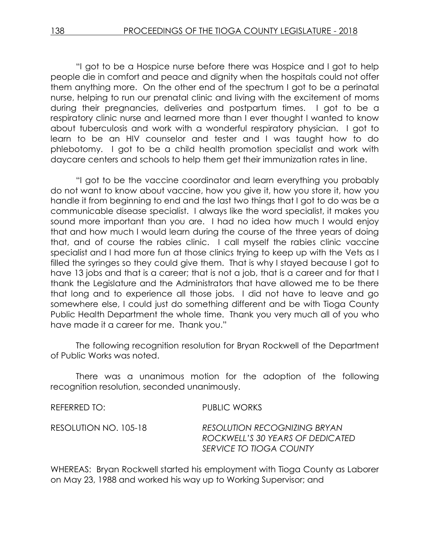"I got to be a Hospice nurse before there was Hospice and I got to help people die in comfort and peace and dignity when the hospitals could not offer them anything more. On the other end of the spectrum I got to be a perinatal nurse, helping to run our prenatal clinic and living with the excitement of moms during their pregnancies, deliveries and postpartum times. I got to be a respiratory clinic nurse and learned more than I ever thought I wanted to know about tuberculosis and work with a wonderful respiratory physician. I got to learn to be an HIV counselor and tester and I was taught how to do phlebotomy. I got to be a child health promotion specialist and work with daycare centers and schools to help them get their immunization rates in line.

"I got to be the vaccine coordinator and learn everything you probably do not want to know about vaccine, how you give it, how you store it, how you handle it from beginning to end and the last two things that I got to do was be a communicable disease specialist. I always like the word specialist, it makes you sound more important than you are. I had no idea how much I would enjoy that and how much I would learn during the course of the three years of doing that, and of course the rabies clinic. I call myself the rabies clinic vaccine specialist and I had more fun at those clinics trying to keep up with the Vets as I filled the syringes so they could give them. That is why I stayed because I got to have 13 jobs and that is a career; that is not a job, that is a career and for that I thank the Legislature and the Administrators that have allowed me to be there that long and to experience all those jobs. I did not have to leave and go somewhere else, I could just do something different and be with Tioga County Public Health Department the whole time. Thank you very much all of you who have made it a career for me. Thank you."

The following recognition resolution for Bryan Rockwell of the Department of Public Works was noted.

There was a unanimous motion for the adoption of the following recognition resolution, seconded unanimously.

| REFERRED TO:          | PUBLIC WORKS                                                                                |
|-----------------------|---------------------------------------------------------------------------------------------|
| RESOLUTION NO. 105-18 | RESOLUTION RECOGNIZING BRYAN<br>ROCKWELL'S 30 YEARS OF DEDICATED<br>SERVICE TO TIOGA COUNTY |

WHEREAS: Bryan Rockwell started his employment with Tioga County as Laborer on May 23, 1988 and worked his way up to Working Supervisor; and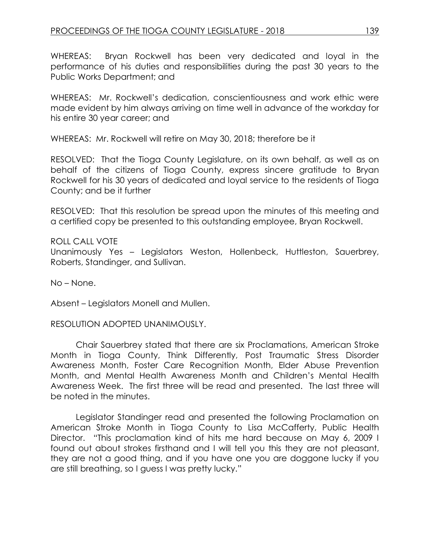WHEREAS: Bryan Rockwell has been very dedicated and loyal in the performance of his duties and responsibilities during the past 30 years to the Public Works Department; and

WHEREAS: Mr. Rockwell's dedication, conscientiousness and work ethic were made evident by him always arriving on time well in advance of the workday for his entire 30 year career; and

WHEREAS: Mr. Rockwell will retire on May 30, 2018; therefore be it

RESOLVED: That the Tioga County Legislature, on its own behalf, as well as on behalf of the citizens of Tioga County, express sincere gratitude to Bryan Rockwell for his 30 years of dedicated and loyal service to the residents of Tioga County; and be it further

RESOLVED: That this resolution be spread upon the minutes of this meeting and a certified copy be presented to this outstanding employee, Bryan Rockwell.

### ROLL CALL VOTE

Unanimously Yes – Legislators Weston, Hollenbeck, Huttleston, Sauerbrey, Roberts, Standinger, and Sullivan.

No – None.

Absent – Legislators Monell and Mullen.

RESOLUTION ADOPTED UNANIMOUSLY.

Chair Sauerbrey stated that there are six Proclamations, American Stroke Month in Tioga County, Think Differently, Post Traumatic Stress Disorder Awareness Month, Foster Care Recognition Month, Elder Abuse Prevention Month, and Mental Health Awareness Month and Children's Mental Health Awareness Week. The first three will be read and presented. The last three will be noted in the minutes.

Legislator Standinger read and presented the following Proclamation on American Stroke Month in Tioga County to Lisa McCafferty, Public Health Director. "This proclamation kind of hits me hard because on May 6, 2009 I found out about strokes firsthand and I will tell you this they are not pleasant, they are not a good thing, and if you have one you are doggone lucky if you are still breathing, so I guess I was pretty lucky."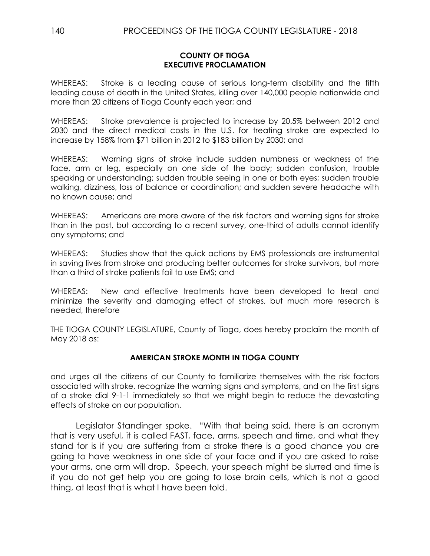### **COUNTY OF TIOGA EXECUTIVE PROCLAMATION**

WHEREAS: Stroke is a leading cause of serious long-term disability and the fifth leading cause of death in the United States, killing over 140,000 people nationwide and more than 20 citizens of Tioga County each year; and

WHEREAS: Stroke prevalence is projected to increase by 20.5% between 2012 and 2030 and the direct medical costs in the U.S. for treating stroke are expected to increase by 158% from \$71 billion in 2012 to \$183 billion by 2030; and

WHEREAS: Warning signs of stroke include sudden numbness or weakness of the face, arm or leg, especially on one side of the body; sudden confusion, trouble speaking or understanding; sudden trouble seeing in one or both eyes; sudden trouble walking, dizziness, loss of balance or coordination; and sudden severe headache with no known cause; and

WHEREAS: Americans are more aware of the risk factors and warning signs for stroke than in the past, but according to a recent survey, one-third of adults cannot identify any symptoms; and

WHEREAS: Studies show that the quick actions by EMS professionals are instrumental in saving lives from stroke and producing better outcomes for stroke survivors, but more than a third of stroke patients fail to use EMS; and

WHEREAS: New and effective treatments have been developed to treat and minimize the severity and damaging effect of strokes, but much more research is needed, therefore

THE TIOGA COUNTY LEGISLATURE, County of Tioga, does hereby proclaim the month of May 2018 as:

## **AMERICAN STROKE MONTH IN TIOGA COUNTY**

and urges all the citizens of our County to familiarize themselves with the risk factors associated with stroke, recognize the warning signs and symptoms, and on the first signs of a stroke dial 9-1-1 immediately so that we might begin to reduce the devastating effects of stroke on our population.

Legislator Standinger spoke. "With that being said, there is an acronym that is very useful, it is called FAST, face, arms, speech and time, and what they stand for is if you are suffering from a stroke there is a good chance you are going to have weakness in one side of your face and if you are asked to raise your arms, one arm will drop. Speech, your speech might be slurred and time is if you do not get help you are going to lose brain cells, which is not a good thing, at least that is what I have been told.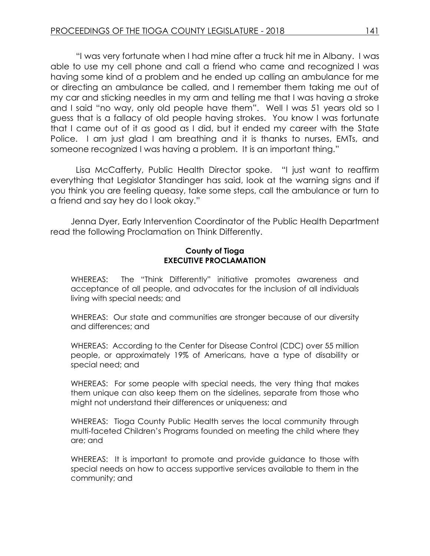"I was very fortunate when I had mine after a truck hit me in Albany. I was able to use my cell phone and call a friend who came and recognized I was having some kind of a problem and he ended up calling an ambulance for me or directing an ambulance be called, and I remember them taking me out of my car and sticking needles in my arm and telling me that I was having a stroke and I said "no way, only old people have them". Well I was 51 years old so I guess that is a fallacy of old people having strokes. You know I was fortunate that I came out of it as good as I did, but it ended my career with the State Police. I am just glad I am breathing and it is thanks to nurses, EMTs, and someone recognized I was having a problem. It is an important thing."

Lisa McCafferty, Public Health Director spoke. "I just want to reaffirm everything that Legislator Standinger has said, look at the warning signs and if you think you are feeling queasy, take some steps, call the ambulance or turn to a friend and say hey do I look okay."

Jenna Dyer, Early Intervention Coordinator of the Public Health Department read the following Proclamation on Think Differently.

### **County of Tioga EXECUTIVE PROCLAMATION**

WHEREAS: The "Think Differently" initiative promotes awareness and acceptance of all people, and advocates for the inclusion of all individuals living with special needs; and

WHEREAS: Our state and communities are stronger because of our diversity and differences; and

WHEREAS: According to the Center for Disease Control (CDC) over 55 million people, or approximately 19% of Americans, have a type of disability or special need; and

WHEREAS: For some people with special needs, the very thing that makes them unique can also keep them on the sidelines, separate from those who might not understand their differences or uniqueness; and

WHEREAS: Tioga County Public Health serves the local community through multi-faceted Children's Programs founded on meeting the child where they are; and

WHEREAS: It is important to promote and provide guidance to those with special needs on how to access supportive services available to them in the community; and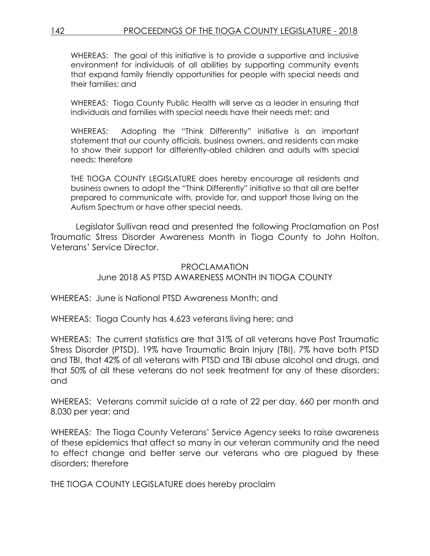WHEREAS: The goal of this initiative is to provide a supportive and inclusive environment for individuals of all abilities by supporting community events that expand family friendly opportunities for people with special needs and their families; and

WHEREAS: Tioga County Public Health will serve as a leader in ensuring that individuals and families with special needs have their needs met; and

WHEREAS: Adopting the "Think Differently" initiative is an important statement that our county officials, business owners, and residents can make to show their support for differently-abled children and adults with special needs; therefore

THE TIOGA COUNTY LEGISLATURE does hereby encourage all residents and business owners to adopt the "Think Differently" initiative so that all are better prepared to communicate with, provide for, and support those living on the Autism Spectrum or have other special needs.

Legislator Sullivan read and presented the following Proclamation on Post Traumatic Stress Disorder Awareness Month in Tioga County to John Holton, Veterans' Service Director.

# PROCLAMATION June 2018 AS PTSD AWARENESS MONTH IN TIOGA COUNTY

WHEREAS: June is National PTSD Awareness Month; and

WHEREAS: Tioga County has 4,623 veterans living here; and

WHEREAS: The current statistics are that 31% of all veterans have Post Traumatic Stress Disorder (PTSD), 19% have Traumatic Brain Injury (TBI), 7% have both PTSD and TBI, that 42% of all veterans with PTSD and TBI abuse alcohol and drugs, and that 50% of all these veterans do not seek treatment for any of these disorders; and

WHEREAS: Veterans commit suicide at a rate of 22 per day, 660 per month and 8,030 per year; and

WHEREAS: The Tioga County Veterans' Service Agency seeks to raise awareness of these epidemics that affect so many in our veteran community and the need to effect change and better serve our veterans who are plagued by these disorders; therefore

THE TIOGA COUNTY LEGISLATURE does hereby proclaim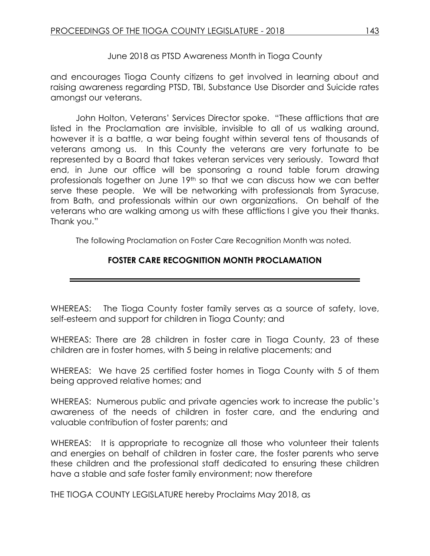June 2018 as PTSD Awareness Month in Tioga County

and encourages Tioga County citizens to get involved in learning about and raising awareness regarding PTSD, TBI, Substance Use Disorder and Suicide rates amongst our veterans.

John Holton, Veterans' Services Director spoke. "These afflictions that are listed in the Proclamation are invisible, invisible to all of us walking around, however it is a battle, a war being fought within several tens of thousands of veterans among us. In this County the veterans are very fortunate to be represented by a Board that takes veteran services very seriously. Toward that end, in June our office will be sponsoring a round table forum drawing professionals together on June 19th so that we can discuss how we can better serve these people. We will be networking with professionals from Syracuse, from Bath, and professionals within our own organizations. On behalf of the veterans who are walking among us with these afflictions I give you their thanks. Thank you."

The following Proclamation on Foster Care Recognition Month was noted.

# **FOSTER CARE RECOGNITION MONTH PROCLAMATION**

WHEREAS: The Tioga County foster family serves as a source of safety, love, self-esteem and support for children in Tioga County; and

WHEREAS: There are 28 children in foster care in Tioga County, 23 of these children are in foster homes, with 5 being in relative placements; and

WHEREAS: We have 25 certified foster homes in Tioga County with 5 of them being approved relative homes; and

WHEREAS: Numerous public and private agencies work to increase the public's awareness of the needs of children in foster care, and the enduring and valuable contribution of foster parents; and

WHEREAS: It is appropriate to recognize all those who volunteer their talents and energies on behalf of children in foster care, the foster parents who serve these children and the professional staff dedicated to ensuring these children have a stable and safe foster family environment; now therefore

THE TIOGA COUNTY LEGISLATURE hereby Proclaims May 2018, as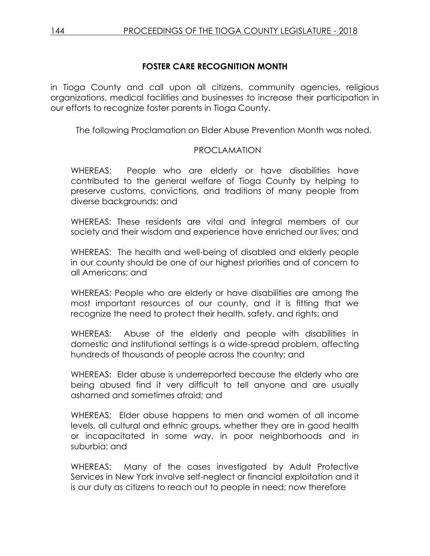# **FOSTER CARE RECOGNITION MONTH**

in Tioga County and call upon all citizens, community agencies, religious organizations, medical facilities and businesses to increase their participation in our efforts to recognize foster parents in Tioga County.

The following Proclamation on Elder Abuse Prevention Month was noted.

# PROCLAMATION

WHEREAS: People who are elderly or have disabilities have contributed to the general welfare of Tioga County by helping to preserve customs, convictions, and traditions of many people from diverse backgrounds; and

WHEREAS: These residents are vital and integral members of our society and their wisdom and experience have enriched our lives; and

WHEREAS: The health and well-being of disabled and elderly people in our county should be one of our highest priorities and of concern to all Americans; and

WHEREAS: People who are elderly or have disabilities are among the most important resources of our county, and it is fitting that we recognize the need to protect their health, safety, and rights; and

WHEREAS: Abuse of the elderly and people with disabilities in domestic and institutional settings is a wide-spread problem, affecting hundreds of thousands of people across the country; and

WHEREAS: Elder abuse is underreported because the elderly who are being abused find it very difficult to tell anyone and are usually ashamed and sometimes afraid; and

WHEREAS: Elder abuse happens to men and women of all income levels, all cultural and ethnic groups, whether they are in good health or incapacitated in some way, in poor neighborhoods and in suburbia; and

WHEREAS: Many of the cases investigated by Adult Protective Services in New York involve self-neglect or financial exploitation and it is our duty as citizens to reach out to people in need; now therefore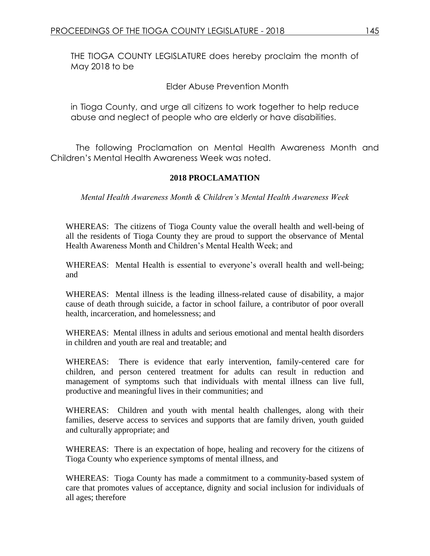THE TIOGA COUNTY LEGISLATURE does hereby proclaim the month of May 2018 to be

Elder Abuse Prevention Month

in Tioga County, and urge all citizens to work together to help reduce abuse and neglect of people who are elderly or have disabilities.

The following Proclamation on Mental Health Awareness Month and Children's Mental Health Awareness Week was noted.

### **2018 PROCLAMATION**

*Mental Health Awareness Month & Children's Mental Health Awareness Week* 

WHEREAS: The citizens of Tioga County value the overall health and well-being of all the residents of Tioga County they are proud to support the observance of Mental Health Awareness Month and Children's Mental Health Week; and

WHEREAS: Mental Health is essential to everyone's overall health and well-being; and

WHEREAS: Mental illness is the leading illness-related cause of disability, a major cause of death through suicide, a factor in school failure, a contributor of poor overall health, incarceration, and homelessness; and

WHEREAS: Mental illness in adults and serious emotional and mental health disorders in children and youth are real and treatable; and

WHEREAS: There is evidence that early intervention, family-centered care for children, and person centered treatment for adults can result in reduction and management of symptoms such that individuals with mental illness can live full, productive and meaningful lives in their communities; and

WHEREAS: Children and youth with mental health challenges, along with their families, deserve access to services and supports that are family driven, youth guided and culturally appropriate; and

WHEREAS: There is an expectation of hope, healing and recovery for the citizens of Tioga County who experience symptoms of mental illness, and

WHEREAS: Tioga County has made a commitment to a community-based system of care that promotes values of acceptance, dignity and social inclusion for individuals of all ages; therefore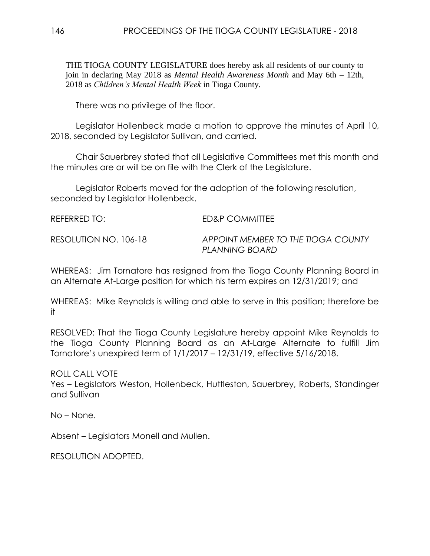THE TIOGA COUNTY LEGISLATURE does hereby ask all residents of our county to join in declaring May 2018 as *Mental Health Awareness Month* and May 6th – 12th, 2018 as *Children's Mental Health Week* in Tioga County.

There was no privilege of the floor.

Legislator Hollenbeck made a motion to approve the minutes of April 10, 2018, seconded by Legislator Sullivan, and carried.

Chair Sauerbrey stated that all Legislative Committees met this month and the minutes are or will be on file with the Clerk of the Legislature.

Legislator Roberts moved for the adoption of the following resolution, seconded by Legislator Hollenbeck.

| REFERRED TO:          | ED&P COMMITTEE                                       |
|-----------------------|------------------------------------------------------|
| RESOLUTION NO. 106-18 | APPOINT MEMBER TO THE TIOGA COUNTY<br>PLANNING BOARD |

WHEREAS: Jim Tornatore has resigned from the Tioga County Planning Board in an Alternate At-Large position for which his term expires on 12/31/2019; and

WHEREAS: Mike Reynolds is willing and able to serve in this position; therefore be it

RESOLVED: That the Tioga County Legislature hereby appoint Mike Reynolds to the Tioga County Planning Board as an At-Large Alternate to fulfill Jim Tornatore's unexpired term of 1/1/2017 – 12/31/19, effective 5/16/2018.

ROLL CALL VOTE

Yes – Legislators Weston, Hollenbeck, Huttleston, Sauerbrey, Roberts, Standinger and Sullivan

No – None.

Absent – Legislators Monell and Mullen.

RESOLUTION ADOPTED.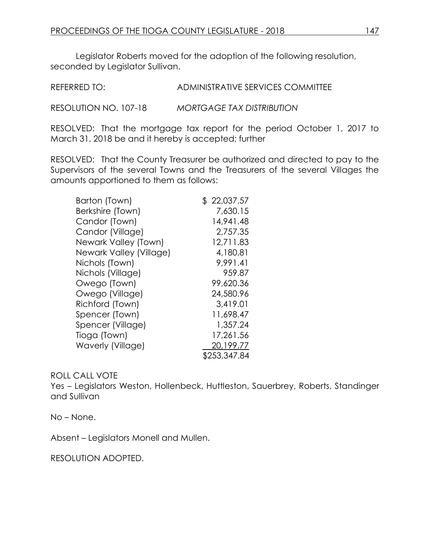Legislator Roberts moved for the adoption of the following resolution, seconded by Legislator Sullivan.

REFERRED TO: ADMINISTRATIVE SERVICES COMMITTEE

RESOLUTION NO. 107-18 *MORTGAGE TAX DISTRIBUTION*

RESOLVED: That the mortgage tax report for the period October 1, 2017 to March 31, 2018 be and it hereby is accepted; further

RESOLVED: That the County Treasurer be authorized and directed to pay to the Supervisors of the several Towns and the Treasurers of the several Villages the amounts apportioned to them as follows:

| Barton (Town)            | \$22,037.57  |
|--------------------------|--------------|
| Berkshire (Town)         | 7,630.15     |
| Candor (Town)            | 14,941.48    |
| Candor (Village)         | 2,757.35     |
| Newark Valley (Town)     | 12,711.83    |
| Newark Valley (Village)  | 4,180.81     |
| Nichols (Town)           | 9,991.41     |
| Nichols (Village)        | 959.87       |
| Owego (Town)             | 99,620.36    |
| Owego (Village)          | 24,580.96    |
| Richford (Town)          | 3,419.01     |
| Spencer (Town)           | 11,698.47    |
| Spencer (Village)        | 1,357.24     |
| Tioga (Town)             | 17,261.56    |
| <b>Waverly (Village)</b> | 20,199.77    |
|                          | \$253,347.84 |

## ROLL CALL VOTE

Yes – Legislators Weston, Hollenbeck, Huttleston, Sauerbrey, Roberts, Standinger and Sullivan

No – None.

Absent – Legislators Monell and Mullen.

RESOLUTION ADOPTED.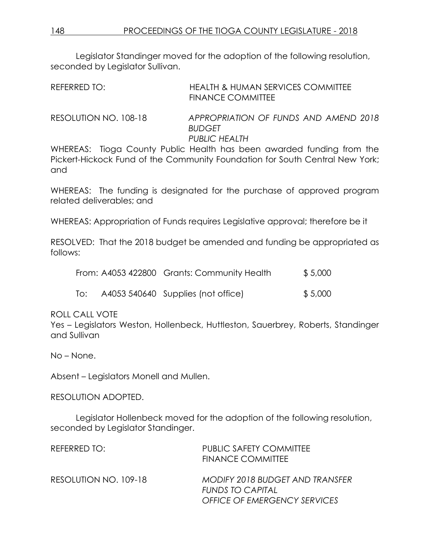Legislator Standinger moved for the adoption of the following resolution, seconded by Legislator Sullivan.

| REFERRED TO: | HEALTH & HUMAN SERVICES COMMITTEE |  |
|--------------|-----------------------------------|--|
|              | <b>FINANCE COMMITTEE</b>          |  |
|              |                                   |  |

RESOLUTION NO. 108-18 *APPROPRIATION OF FUNDS AND AMEND 2018 BUDGET PUBLIC HEALTH*

WHEREAS: Tioga County Public Health has been awarded funding from the Pickert-Hickock Fund of the Community Foundation for South Central New York; and

WHEREAS: The funding is designated for the purchase of approved program related deliverables; and

WHEREAS: Appropriation of Funds requires Legislative approval; therefore be it

RESOLVED: That the 2018 budget be amended and funding be appropriated as follows:

|     | From: A4053 422800 Grants: Community Health | \$5,000 |
|-----|---------------------------------------------|---------|
| To: | A4053 540640 Supplies (not office)          | \$5,000 |

ROLL CALL VOTE

Yes – Legislators Weston, Hollenbeck, Huttleston, Sauerbrey, Roberts, Standinger and Sullivan

No – None.

Absent – Legislators Monell and Mullen.

RESOLUTION ADOPTED.

Legislator Hollenbeck moved for the adoption of the following resolution, seconded by Legislator Standinger.

| REFERRED TO:          | <b>PUBLIC SAFETY COMMITTEE</b><br><b>FINANCE COMMITTEE</b>                                        |
|-----------------------|---------------------------------------------------------------------------------------------------|
| RESOLUTION NO. 109-18 | MODIFY 2018 BUDGET AND TRANSFER<br><b>FUNDS TO CAPITAL</b><br><b>OFFICE OF EMERGENCY SERVICES</b> |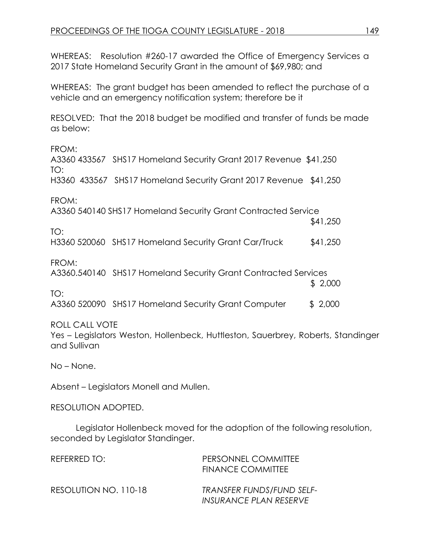WHEREAS: Resolution #260-17 awarded the Office of Emergency Services a 2017 State Homeland Security Grant in the amount of \$69,980; and

WHEREAS: The grant budget has been amended to reflect the purchase of a vehicle and an emergency notification system; therefore be it

RESOLVED: That the 2018 budget be modified and transfer of funds be made as below:

FROM:

A3360 433567 SHS17 Homeland Security Grant 2017 Revenue \$41,250 TO: H3360 433567 SHS17 Homeland Security Grant 2017 Revenue \$41,250

FROM:

TO:

A3360 540140 SHS17 Homeland Security Grant Contracted Service

H3360 520060 SHS17 Homeland Security Grant Car/Truck \$41,250

FROM:

A3360.540140 SHS17 Homeland Security Grant Contracted Services

 \$ 2,000 TO:

A3360 520090 SHS17 Homeland Security Grant Computer \$ 2,000

## ROLL CALL VOTE

Yes – Legislators Weston, Hollenbeck, Huttleston, Sauerbrey, Roberts, Standinger and Sullivan

No – None.

Absent – Legislators Monell and Mullen.

RESOLUTION ADOPTED.

Legislator Hollenbeck moved for the adoption of the following resolution, seconded by Legislator Standinger.

| REFERRED TO:          | PERSONNEL COMMITTEE<br><b>FINANCE COMMITTEE</b>     |
|-----------------------|-----------------------------------------------------|
| RESOLUTION NO. 110-18 | TRANSFER FUNDS/FUND SELF-<br>INSURANCE PLAN RESERVE |

\$41,250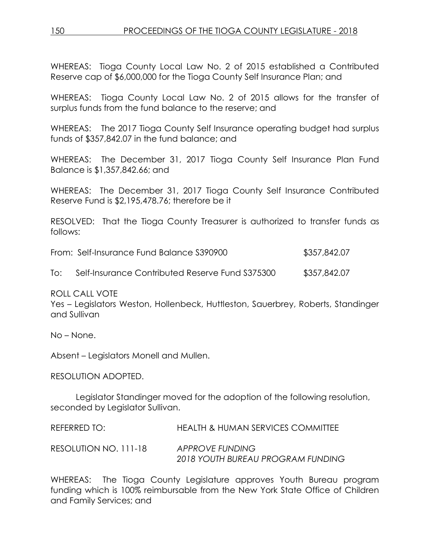WHEREAS: Tioga County Local Law No. 2 of 2015 established a Contributed Reserve cap of \$6,000,000 for the Tioga County Self Insurance Plan; and

WHEREAS: Tioga County Local Law No. 2 of 2015 allows for the transfer of surplus funds from the fund balance to the reserve; and

WHEREAS: The 2017 Tioga County Self Insurance operating budget had surplus funds of \$357,842.07 in the fund balance; and

WHEREAS: The December 31, 2017 Tioga County Self Insurance Plan Fund Balance is \$1,357,842.66; and

WHEREAS: The December 31, 2017 Tioga County Self Insurance Contributed Reserve Fund is \$2,195,478.76; therefore be it

RESOLVED: That the Tioga County Treasurer is authorized to transfer funds as follows:

|     | From: Self-Insurance Fund Balance S390900        | \$357,842.07 |
|-----|--------------------------------------------------|--------------|
| To: | Self-Insurance Contributed Reserve Fund \$375300 | \$357,842.07 |

ROLL CALL VOTE

Yes – Legislators Weston, Hollenbeck, Huttleston, Sauerbrey, Roberts, Standinger and Sullivan

No – None.

Absent – Legislators Monell and Mullen.

RESOLUTION ADOPTED.

Legislator Standinger moved for the adoption of the following resolution, seconded by Legislator Sullivan.

REFERRED TO: HEALTH & HUMAN SERVICES COMMITTEE RESOLUTION NO. 111-18 *APPROVE FUNDING 2018 YOUTH BUREAU PROGRAM FUNDING*

WHEREAS: The Tioga County Legislature approves Youth Bureau program funding which is 100% reimbursable from the New York State Office of Children and Family Services; and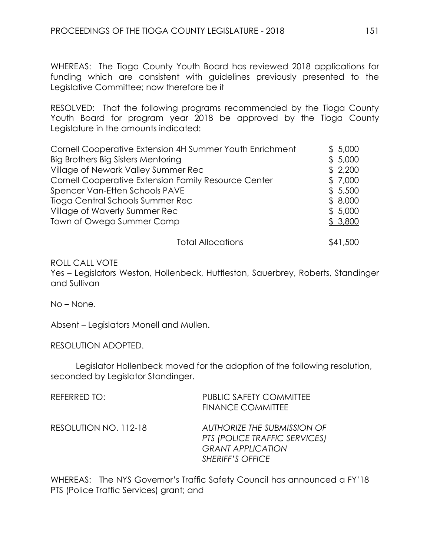WHEREAS: The Tioga County Youth Board has reviewed 2018 applications for funding which are consistent with guidelines previously presented to the Legislative Committee; now therefore be it

RESOLVED: That the following programs recommended by the Tioga County Youth Board for program year 2018 be approved by the Tioga County Legislature in the amounts indicated:

| Cornell Cooperative Extension 4H Summer Youth Enrichment | \$5,000 |
|----------------------------------------------------------|---------|
| Big Brothers Big Sisters Mentoring                       | \$5,000 |
| Village of Newark Valley Summer Rec                      | \$2,200 |
| Cornell Cooperative Extension Family Resource Center     | \$7,000 |
| Spencer Van-Etten Schools PAVE                           | \$5,500 |
| Tioga Central Schools Summer Rec                         | \$8,000 |
| Village of Waverly Summer Rec                            | \$5,000 |
| Town of Owego Summer Camp                                | \$3,800 |
|                                                          |         |

Total Allocations  $$41,500$ 

### ROLL CALL VOTE

Yes – Legislators Weston, Hollenbeck, Huttleston, Sauerbrey, Roberts, Standinger and Sullivan

No – None.

Absent – Legislators Monell and Mullen.

RESOLUTION ADOPTED.

Legislator Hollenbeck moved for the adoption of the following resolution, seconded by Legislator Standinger.

| <b>REFERRED TO:</b>   | <b>PUBLIC SAFETY COMMITTEE</b><br><b>FINANCE COMMITTEE</b>                                                          |
|-----------------------|---------------------------------------------------------------------------------------------------------------------|
| RESOLUTION NO. 112-18 | AUTHORIZE THE SUBMISSION OF<br>PTS (POLICE TRAFFIC SERVICES)<br><b>GRANT APPLICATION</b><br><b>SHERIFF'S OFFICE</b> |

WHEREAS: The NYS Governor's Traffic Safety Council has announced a FY'18 PTS (Police Traffic Services) grant; and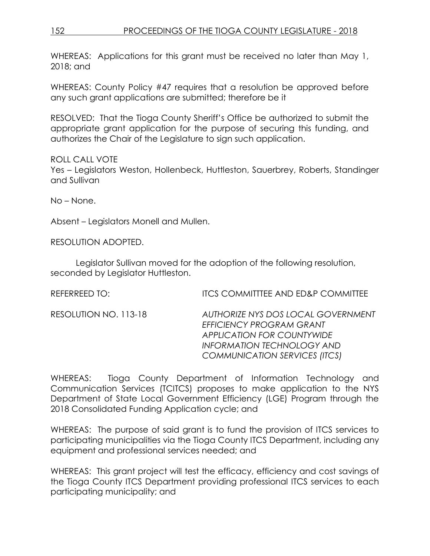# 152 PROCEEDINGS OF THE TIOGA COUNTY LEGISLATURE - 2018

WHEREAS: Applications for this grant must be received no later than May 1, 2018; and

WHEREAS: County Policy #47 requires that a resolution be approved before any such grant applications are submitted; therefore be it

RESOLVED: That the Tioga County Sheriff's Office be authorized to submit the appropriate grant application for the purpose of securing this funding, and authorizes the Chair of the Legislature to sign such application.

### ROLL CALL VOTE

Yes – Legislators Weston, Hollenbeck, Huttleston, Sauerbrey, Roberts, Standinger and Sullivan

No – None.

Absent – Legislators Monell and Mullen.

RESOLUTION ADOPTED.

Legislator Sullivan moved for the adoption of the following resolution, seconded by Legislator Huttleston.

REFERREED TO: **ITCS COMMITTEE AND ED&P COMMITTEE** 

RESOLUTION NO. 113-18 *AUTHORIZE NYS DOS LOCAL GOVERNMENT EFFICIENCY PROGRAM GRANT APPLICATION FOR COUNTYWIDE INFORMATION TECHNOLOGY AND COMMUNICATION SERVICES (ITCS)*

WHEREAS: Tioga County Department of Information Technology and Communication Services (TCITCS) proposes to make application to the NYS Department of State Local Government Efficiency (LGE) Program through the 2018 Consolidated Funding Application cycle; and

WHEREAS: The purpose of said grant is to fund the provision of ITCS services to participating municipalities via the Tioga County ITCS Department, including any equipment and professional services needed; and

WHEREAS: This grant project will test the efficacy, efficiency and cost savings of the Tioga County ITCS Department providing professional ITCS services to each participating municipality; and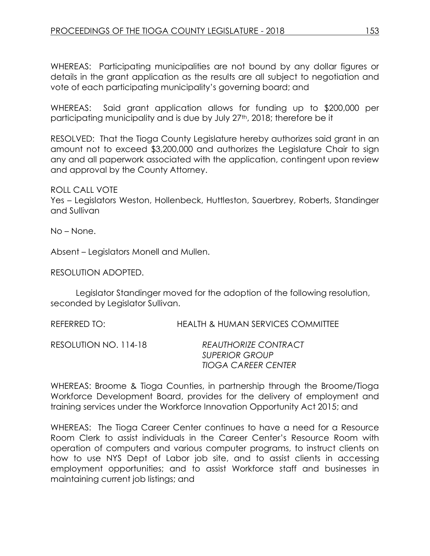WHEREAS: Participating municipalities are not bound by any dollar figures or details in the grant application as the results are all subject to negotiation and vote of each participating municipality's governing board; and

WHEREAS: Said grant application allows for funding up to \$200,000 per participating municipality and is due by July 27<sup>th</sup>, 2018; therefore be it

RESOLVED: That the Tioga County Legislature hereby authorizes said grant in an amount not to exceed \$3,200,000 and authorizes the Legislature Chair to sign any and all paperwork associated with the application, contingent upon review and approval by the County Attorney.

### ROLL CALL VOTE

Yes – Legislators Weston, Hollenbeck, Huttleston, Sauerbrey, Roberts, Standinger and Sullivan

No – None.

Absent – Legislators Monell and Mullen.

RESOLUTION ADOPTED.

Legislator Standinger moved for the adoption of the following resolution, seconded by Legislator Sullivan.

REFERRED TO: HEALTH & HUMAN SERVICES COMMITTEE

RESOLUTION NO. 114-18 *REAUTHORIZE CONTRACT SUPERIOR GROUP TIOGA CAREER CENTER*

WHEREAS: Broome & Tioga Counties, in partnership through the Broome/Tioga Workforce Development Board, provides for the delivery of employment and training services under the Workforce Innovation Opportunity Act 2015; and

WHEREAS: The Tioga Career Center continues to have a need for a Resource Room Clerk to assist individuals in the Career Center's Resource Room with operation of computers and various computer programs, to instruct clients on how to use NYS Dept of Labor job site, and to assist clients in accessing employment opportunities; and to assist Workforce staff and businesses in maintaining current job listings; and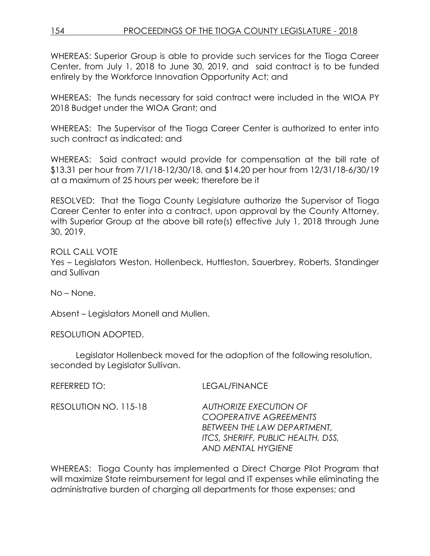WHEREAS: Superior Group is able to provide such services for the Tioga Career Center, from July 1, 2018 to June 30, 2019, and said contract is to be funded entirely by the Workforce Innovation Opportunity Act; and

WHEREAS: The funds necessary for said contract were included in the WIOA PY 2018 Budget under the WIOA Grant; and

WHEREAS: The Supervisor of the Tioga Career Center is authorized to enter into such contract as indicated; and

WHEREAS: Said contract would provide for compensation at the bill rate of \$13.31 per hour from 7/1/18-12/30/18, and \$14.20 per hour from 12/31/18-6/30/19 at a maximum of 25 hours per week; therefore be it

RESOLVED: That the Tioga County Legislature authorize the Supervisor of Tioga Career Center to enter into a contract, upon approval by the County Attorney, with Superior Group at the above bill rate(s) effective July 1, 2018 through June 30, 2019.

ROLL CALL VOTE Yes – Legislators Weston, Hollenbeck, Huttleston, Sauerbrey, Roberts, Standinger and Sullivan

No – None.

Absent – Legislators Monell and Mullen.

RESOLUTION ADOPTED.

Legislator Hollenbeck moved for the adoption of the following resolution, seconded by Legislator Sullivan.

REFERRED TO: LEGAL/FINANCE

RESOLUTION NO. 115-18 *AUTHORIZE EXECUTION OF COOPERATIVE AGREEMENTS BETWEEN THE LAW DEPARTMENT, ITCS, SHERIFF, PUBLIC HEALTH, DSS, AND MENTAL HYGIENE*

WHEREAS: Tioga County has implemented a Direct Charge Pilot Program that will maximize State reimbursement for legal and IT expenses while eliminating the administrative burden of charging all departments for those expenses; and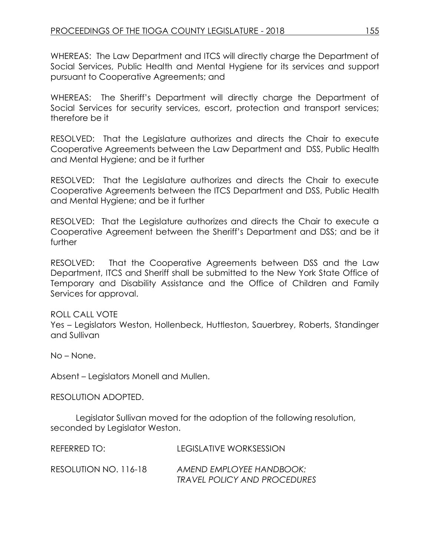WHEREAS: The Law Department and ITCS will directly charge the Department of Social Services, Public Health and Mental Hygiene for its services and support pursuant to Cooperative Agreements; and

WHEREAS: The Sheriff's Department will directly charge the Department of Social Services for security services, escort, protection and transport services; therefore be it

RESOLVED: That the Legislature authorizes and directs the Chair to execute Cooperative Agreements between the Law Department and DSS, Public Health and Mental Hygiene; and be it further

RESOLVED: That the Legislature authorizes and directs the Chair to execute Cooperative Agreements between the ITCS Department and DSS, Public Health and Mental Hygiene; and be it further

RESOLVED: That the Legislature authorizes and directs the Chair to execute a Cooperative Agreement between the Sheriff's Department and DSS; and be it further

RESOLVED: That the Cooperative Agreements between DSS and the Law Department, ITCS and Sheriff shall be submitted to the New York State Office of Temporary and Disability Assistance and the Office of Children and Family Services for approval.

ROLL CALL VOTE Yes – Legislators Weston, Hollenbeck, Huttleston, Sauerbrey, Roberts, Standinger and Sullivan

No – None.

Absent – Legislators Monell and Mullen.

RESOLUTION ADOPTED.

Legislator Sullivan moved for the adoption of the following resolution, seconded by Legislator Weston.

| REFERRED TO:          | LEGISLATIVE WORKSESSION                                  |
|-----------------------|----------------------------------------------------------|
| RESOLUTION NO. 116-18 | AMEND EMPLOYEE HANDBOOK:<br>TRAVEL POLICY AND PROCEDURES |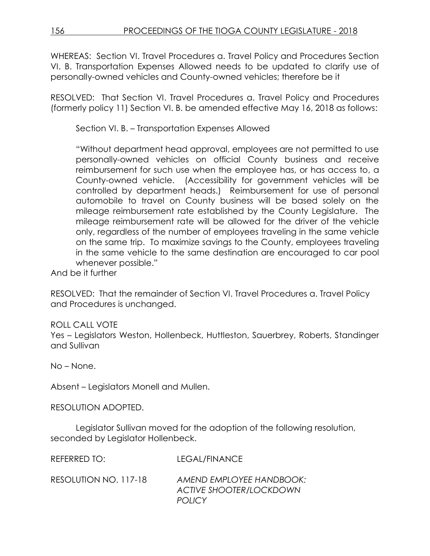WHEREAS: Section VI. Travel Procedures a. Travel Policy and Procedures Section VI. B. Transportation Expenses Allowed needs to be updated to clarify use of personally-owned vehicles and County-owned vehicles; therefore be it

RESOLVED: That Section VI. Travel Procedures a. Travel Policy and Procedures (formerly policy 11) Section VI. B. be amended effective May 16, 2018 as follows:

Section VI. B. – Transportation Expenses Allowed

"Without department head approval, employees are not permitted to use personally-owned vehicles on official County business and receive reimbursement for such use when the employee has, or has access to, a County-owned vehicle. (Accessibility for government vehicles will be controlled by department heads.) Reimbursement for use of personal automobile to travel on County business will be based solely on the mileage reimbursement rate established by the County Legislature. The mileage reimbursement rate will be allowed for the driver of the vehicle only, regardless of the number of employees traveling in the same vehicle on the same trip. To maximize savings to the County, employees traveling in the same vehicle to the same destination are encouraged to car pool whenever possible."

And be it further

RESOLVED: That the remainder of Section VI. Travel Procedures a. Travel Policy and Procedures is unchanged.

ROLL CALL VOTE

Yes – Legislators Weston, Hollenbeck, Huttleston, Sauerbrey, Roberts, Standinger and Sullivan

No – None.

Absent – Legislators Monell and Mullen.

RESOLUTION ADOPTED.

Legislator Sullivan moved for the adoption of the following resolution, seconded by Legislator Hollenbeck.

REFERRED TO: LEGAL/FINANCE

| RESOLUTION NO. 117-18 | AMEND EMPLOYEE HANDBOOK:       |
|-----------------------|--------------------------------|
|                       | <b>ACTIVE SHOOTER/LOCKDOWN</b> |
|                       | <b>POLICY</b>                  |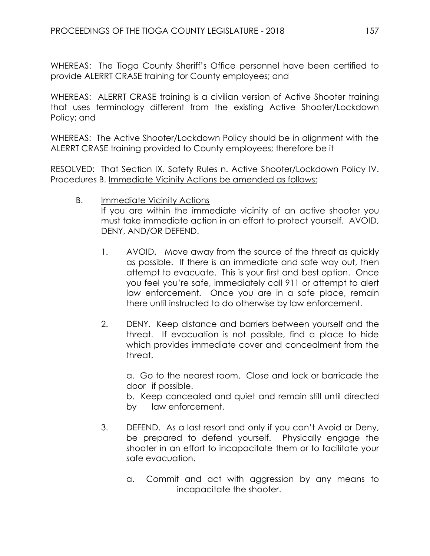WHEREAS: The Tioga County Sheriff's Office personnel have been certified to provide ALERRT CRASE training for County employees; and

WHEREAS: ALERRT CRASE training is a civilian version of Active Shooter training that uses terminology different from the existing Active Shooter/Lockdown Policy; and

WHEREAS: The Active Shooter/Lockdown Policy should be in alignment with the ALERRT CRASE training provided to County employees; therefore be it

RESOLVED: That Section IX. Safety Rules n. Active Shooter/Lockdown Policy IV. Procedures B. Immediate Vicinity Actions be amended as follows:

B. Immediate Vicinity Actions

If you are within the immediate vicinity of an active shooter you must take immediate action in an effort to protect yourself. AVOID, DENY, AND/OR DEFEND.

- 1. AVOID. Move away from the source of the threat as quickly as possible. If there is an immediate and safe way out, then attempt to evacuate. This is your first and best option. Once you feel you're safe, immediately call 911 or attempt to alert law enforcement. Once you are in a safe place, remain there until instructed to do otherwise by law enforcement.
- 2. DENY. Keep distance and barriers between yourself and the threat. If evacuation is not possible, find a place to hide which provides immediate cover and concealment from the threat.

a. Go to the nearest room. Close and lock or barricade the door if possible.

b. Keep concealed and quiet and remain still until directed by law enforcement.

- 3. DEFEND. As a last resort and only if you can't Avoid or Deny, be prepared to defend yourself. Physically engage the shooter in an effort to incapacitate them or to facilitate your safe evacuation.
	- a. Commit and act with aggression by any means to incapacitate the shooter.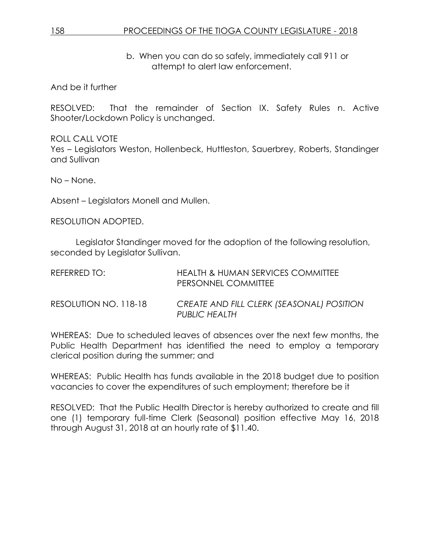## 158 PROCEEDINGS OF THE TIOGA COUNTY LEGISLATURE - 2018

b. When you can do so safely, immediately call 911 or attempt to alert law enforcement.

And be it further

RESOLVED: That the remainder of Section IX. Safety Rules n. Active Shooter/Lockdown Policy is unchanged.

ROLL CALL VOTE Yes – Legislators Weston, Hollenbeck, Huttleston, Sauerbrey, Roberts, Standinger and Sullivan

No – None.

Absent – Legislators Monell and Mullen.

RESOLUTION ADOPTED.

Legislator Standinger moved for the adoption of the following resolution, seconded by Legislator Sullivan.

| REFERRED TO:          | HEALTH & HUMAN SERVICES COMMITTEE<br><b>PERSONNEL COMMITTEE</b> |
|-----------------------|-----------------------------------------------------------------|
| RESOLUTION NO. 118-18 | CREATE AND FILL CLERK (SEASONAL) POSITION<br>PUBLIC HEALTH      |

WHEREAS: Due to scheduled leaves of absences over the next few months, the Public Health Department has identified the need to employ a temporary clerical position during the summer; and

WHEREAS: Public Health has funds available in the 2018 budget due to position vacancies to cover the expenditures of such employment; therefore be it

RESOLVED: That the Public Health Director is hereby authorized to create and fill one (1) temporary full-time Clerk (Seasonal) position effective May 16, 2018 through August 31, 2018 at an hourly rate of \$11.40.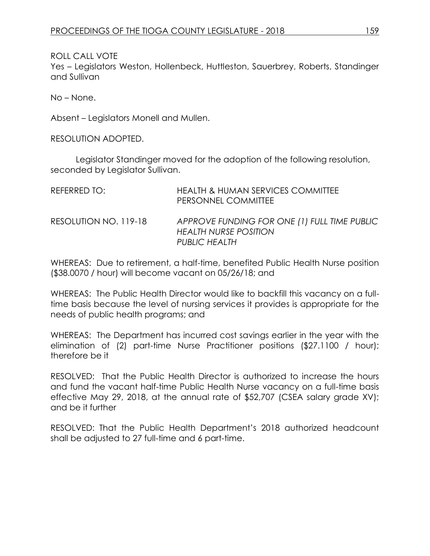ROLL CALL VOTE Yes – Legislators Weston, Hollenbeck, Huttleston, Sauerbrey, Roberts, Standinger and Sullivan

No – None.

Absent – Legislators Monell and Mullen.

RESOLUTION ADOPTED.

Legislator Standinger moved for the adoption of the following resolution, seconded by Legislator Sullivan.

| REFERRED TO:          | <b>HEALTH &amp; HUMAN SERVICES COMMITTEE</b><br>PERSONNEL COMMITTEE                           |
|-----------------------|-----------------------------------------------------------------------------------------------|
| RESOLUTION NO. 119-18 | APPROVE FUNDING FOR ONE (1) FULL TIME PUBLIC<br><b>HEALTH NURSE POSITION</b><br>PUBLIC HEALTH |

WHEREAS: Due to retirement, a half-time, benefited Public Health Nurse position (\$38.0070 / hour) will become vacant on 05/26/18; and

WHEREAS: The Public Health Director would like to backfill this vacancy on a fulltime basis because the level of nursing services it provides is appropriate for the needs of public health programs; and

WHEREAS: The Department has incurred cost savings earlier in the year with the elimination of (2) part-time Nurse Practitioner positions (\$27.1100 / hour); therefore be it

RESOLVED: That the Public Health Director is authorized to increase the hours and fund the vacant half-time Public Health Nurse vacancy on a full-time basis effective May 29, 2018, at the annual rate of \$52,707 (CSEA salary grade XV); and be it further

RESOLVED: That the Public Health Department's 2018 authorized headcount shall be adjusted to 27 full-time and 6 part-time.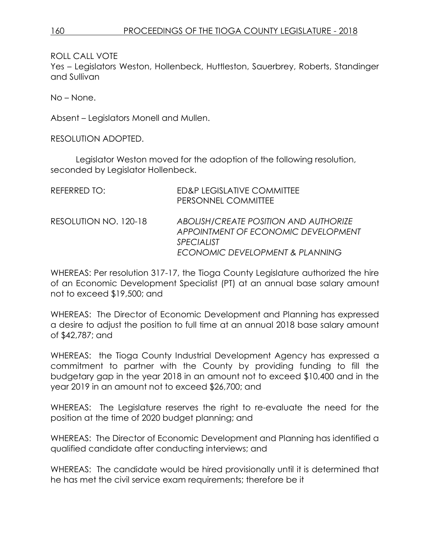ROLL CALL VOTE

Yes – Legislators Weston, Hollenbeck, Huttleston, Sauerbrey, Roberts, Standinger and Sullivan

No – None.

Absent – Legislators Monell and Mullen.

RESOLUTION ADOPTED.

Legislator Weston moved for the adoption of the following resolution, seconded by Legislator Hollenbeck.

| REFERRED TO:          | ED&P LEGISLATIVE COMMITTEE<br>PERSONNEL COMMITTEE                                                                                    |
|-----------------------|--------------------------------------------------------------------------------------------------------------------------------------|
| RESOLUTION NO. 120-18 | ABOLISH/CREATE POSITION AND AUTHORIZE<br>APPOINTMENT OF ECONOMIC DEVELOPMENT<br><b>SPECIALIST</b><br>ECONOMIC DEVELOPMENT & PLANNING |

WHEREAS: Per resolution 317-17, the Tioga County Legislature authorized the hire of an Economic Development Specialist (PT) at an annual base salary amount not to exceed \$19,500; and

WHEREAS: The Director of Economic Development and Planning has expressed a desire to adjust the position to full time at an annual 2018 base salary amount of \$42,787; and

WHEREAS: the Tioga County Industrial Development Agency has expressed a commitment to partner with the County by providing funding to fill the budgetary gap in the year 2018 in an amount not to exceed \$10,400 and in the year 2019 in an amount not to exceed \$26,700; and

WHEREAS: The Legislature reserves the right to re-evaluate the need for the position at the time of 2020 budget planning; and

WHEREAS: The Director of Economic Development and Planning has identified a qualified candidate after conducting interviews; and

WHEREAS: The candidate would be hired provisionally until it is determined that he has met the civil service exam requirements; therefore be it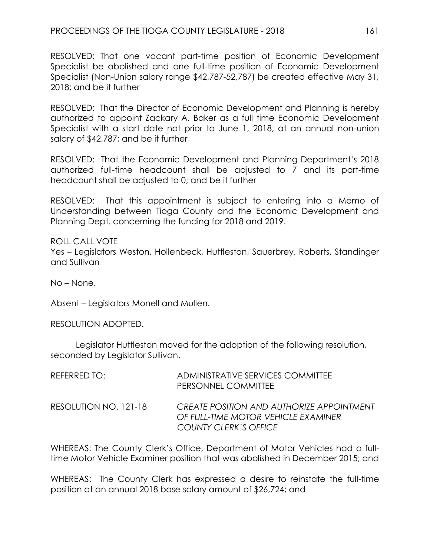RESOLVED: That one vacant part-time position of Economic Development Specialist be abolished and one full-time position of Economic Development Specialist (Non-Union salary range \$42,787-52,787) be created effective May 31, 2018; and be it further

RESOLVED: That the Director of Economic Development and Planning is hereby authorized to appoint Zackary A. Baker as a full time Economic Development Specialist with a start date not prior to June 1, 2018, at an annual non-union salary of \$42,787; and be it further

RESOLVED: That the Economic Development and Planning Department's 2018 authorized full-time headcount shall be adjusted to 7 and its part-time headcount shall be adjusted to 0; and be it further

RESOLVED: That this appointment is subject to entering into a Memo of Understanding between Tioga County and the Economic Development and Planning Dept. concerning the funding for 2018 and 2019.

ROLL CALL VOTE Yes – Legislators Weston, Hollenbeck, Huttleston, Sauerbrey, Roberts, Standinger and Sullivan

No – None.

Absent – Legislators Monell and Mullen.

RESOLUTION ADOPTED.

Legislator Huttleston moved for the adoption of the following resolution, seconded by Legislator Sullivan.

| REFERRED TO:          | ADMINISTRATIVE SERVICES COMMITTEE<br>PERSONNEL COMMITTEE                                                                |
|-----------------------|-------------------------------------------------------------------------------------------------------------------------|
| RESOLUTION NO. 121-18 | <b>CREATE POSITION AND AUTHORIZE APPOINTMENT</b><br>OF FULL-TIME MOTOR VEHICLE EXAMINER<br><b>COUNTY CLERK'S OFFICE</b> |

WHEREAS: The County Clerk's Office, Department of Motor Vehicles had a fulltime Motor Vehicle Examiner position that was abolished in December 2015; and

WHEREAS: The County Clerk has expressed a desire to reinstate the full-time position at an annual 2018 base salary amount of \$26,724; and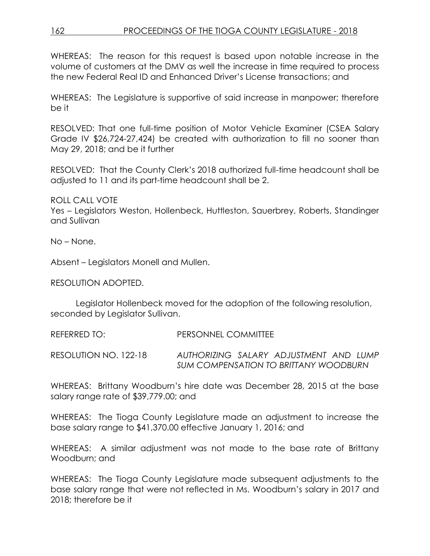# 162 PROCEEDINGS OF THE TIOGA COUNTY LEGISLATURE - 2018

WHEREAS: The reason for this request is based upon notable increase in the volume of customers at the DMV as well the increase in time required to process the new Federal Real ID and Enhanced Driver's License transactions; and

WHEREAS: The Legislature is supportive of said increase in manpower; therefore be it

RESOLVED: That one full-time position of Motor Vehicle Examiner (CSEA Salary Grade IV \$26,724-27,424) be created with authorization to fill no sooner than May 29, 2018; and be it further

RESOLVED: That the County Clerk's 2018 authorized full-time headcount shall be adjusted to 11 and its part-time headcount shall be 2.

ROLL CALL VOTE Yes – Legislators Weston, Hollenbeck, Huttleston, Sauerbrey, Roberts, Standinger and Sullivan

No – None.

Absent – Legislators Monell and Mullen.

RESOLUTION ADOPTED.

Legislator Hollenbeck moved for the adoption of the following resolution, seconded by Legislator Sullivan.

REFERRED TO: PERSONNEL COMMITTEE

RESOLUTION NO. 122-18 *AUTHORIZING SALARY ADJUSTMENT AND LUMP SUM COMPENSATION TO BRITTANY WOODBURN*

WHEREAS: Brittany Woodburn's hire date was December 28, 2015 at the base salary range rate of \$39,779.00; and

WHEREAS: The Tioga County Legislature made an adjustment to increase the base salary range to \$41,370.00 effective January 1, 2016; and

WHEREAS: A similar adjustment was not made to the base rate of Brittany Woodburn; and

WHEREAS: The Tioga County Legislature made subsequent adjustments to the base salary range that were not reflected in Ms. Woodburn's salary in 2017 and 2018; therefore be it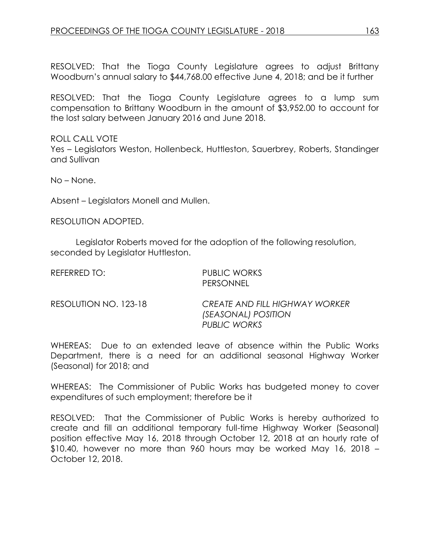RESOLVED: That the Tioga County Legislature agrees to adjust Brittany Woodburn's annual salary to \$44,768.00 effective June 4, 2018; and be it further

RESOLVED: That the Tioga County Legislature agrees to a lump sum compensation to Brittany Woodburn in the amount of \$3,952.00 to account for the lost salary between January 2016 and June 2018.

ROLL CALL VOTE Yes – Legislators Weston, Hollenbeck, Huttleston, Sauerbrey, Roberts, Standinger and Sullivan

No – None.

Absent – Legislators Monell and Mullen.

RESOLUTION ADOPTED.

Legislator Roberts moved for the adoption of the following resolution, seconded by Legislator Huttleston.

| REFERRED TO:          | PUBLIC WORKS<br><b>PERSONNEL</b>                                             |
|-----------------------|------------------------------------------------------------------------------|
| RESOLUTION NO. 123-18 | <b>CREATE AND FILL HIGHWAY WORKER</b><br>(SEASONAL) POSITION<br>PUBLIC WORKS |

WHEREAS: Due to an extended leave of absence within the Public Works Department, there is a need for an additional seasonal Highway Worker (Seasonal) for 2018; and

WHEREAS: The Commissioner of Public Works has budgeted money to cover expenditures of such employment; therefore be it

RESOLVED: That the Commissioner of Public Works is hereby authorized to create and fill an additional temporary full-time Highway Worker (Seasonal) position effective May 16, 2018 through October 12, 2018 at an hourly rate of \$10.40, however no more than 960 hours may be worked May 16, 2018 – October 12, 2018.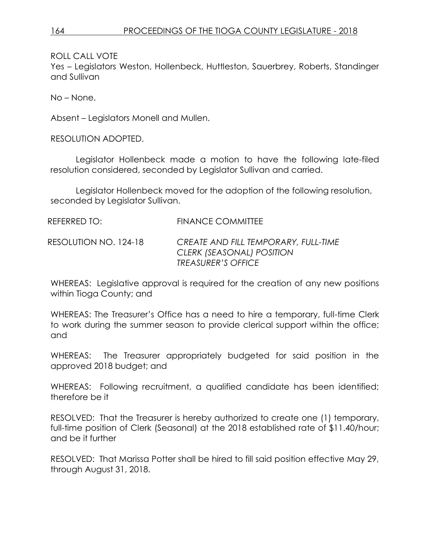ROLL CALL VOTE

Yes – Legislators Weston, Hollenbeck, Huttleston, Sauerbrey, Roberts, Standinger and Sullivan

No – None.

Absent – Legislators Monell and Mullen.

RESOLUTION ADOPTED.

Legislator Hollenbeck made a motion to have the following late-filed resolution considered, seconded by Legislator Sullivan and carried.

Legislator Hollenbeck moved for the adoption of the following resolution, seconded by Legislator Sullivan.

REFERRED TO: FINANCE COMMITTEE

RESOLUTION NO. 124-18 *CREATE AND FILL TEMPORARY, FULL-TIME CLERK (SEASONAL) POSITION TREASURER'S OFFICE*

WHEREAS: Legislative approval is required for the creation of any new positions within Tioga County; and

WHEREAS: The Treasurer's Office has a need to hire a temporary, full-time Clerk to work during the summer season to provide clerical support within the office; and

WHEREAS: The Treasurer appropriately budgeted for said position in the approved 2018 budget; and

WHEREAS: Following recruitment, a qualified candidate has been identified; therefore be it

RESOLVED: That the Treasurer is hereby authorized to create one (1) temporary, full-time position of Clerk (Seasonal) at the 2018 established rate of \$11.40/hour; and be it further

RESOLVED: That Marissa Potter shall be hired to fill said position effective May 29, through August 31, 2018.